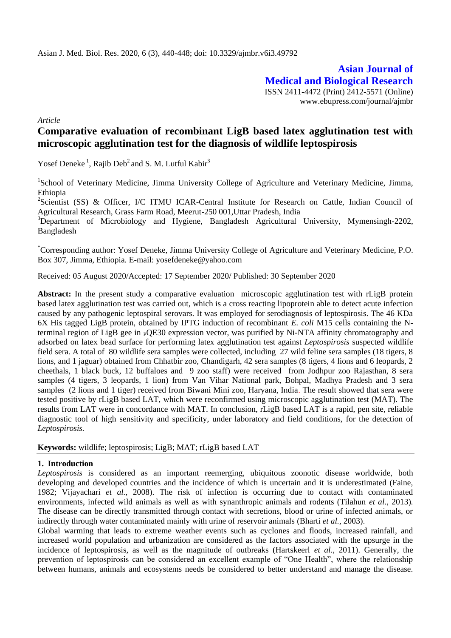**Asian Journal of Medical and Biological Research** ISSN 2411-4472 (Print) 2412-5571 (Online) www.ebupress.com/journal/ajmbr

*Article*

# **Comparative evaluation of recombinant LigB based latex agglutination test with microscopic agglutination test for the diagnosis of wildlife leptospirosis**

Yosef Deneke<sup>1</sup>, Rajib Deb<sup>2</sup> and S. M. Lutful Kabir<sup>3</sup>

<sup>1</sup>School of Veterinary Medicine, Jimma University College of Agriculture and Veterinary Medicine, Jimma, Ethiopia

<sup>2</sup>Scientist (SS) & Officer, I/C ITMU ICAR-Central Institute for Research on Cattle, Indian Council of Agricultural Research, Grass Farm Road, Meerut-250 001,Uttar Pradesh, India

<sup>3</sup>Department of Microbiology and Hygiene, Bangladesh Agricultural University, Mymensingh-2202, Bangladesh

\*Corresponding author: Yosef Deneke, Jimma University College of Agriculture and Veterinary Medicine, P.O. Box 307, Jimma, Ethiopia. E-mail: yosefdeneke@yahoo.com

Received: 05 August 2020/Accepted: 17 September 2020/ Published: 30 September 2020

Abstract: In the present study a comparative evaluation microscopic agglutination test with rLigB protein based latex agglutination test was carried out, which is a cross reacting lipoprotein able to detect acute infection caused by any pathogenic leptospiral serovars. It was employed for serodiagnosis of leptospirosis. The 46 KDa 6X His tagged LigB protein, obtained by IPTG induction of recombinant *E. coli* M15 cells containing the Nterminal region of LigB gee in <sub>P</sub>QE30 expression vector, was purified by Ni-NTA affinity chromatography and adsorbed on latex bead surface for performing latex agglutination test against *Leptospirosis* suspected wildlife field sera. A total of 80 wildlife sera samples were collected, including 27 wild feline sera samples (18 tigers, 8 lions, and 1 jaguar) obtained from Chhatbir zoo, Chandigarh, 42 sera samples (8 tigers, 4 lions and 6 leopards, 2 cheethals, 1 black buck, 12 buffaloes and 9 zoo staff) were received from Jodhpur zoo Rajasthan, 8 sera samples (4 tigers, 3 leopards, 1 lion) from Van Vihar National park, Bohpal, Madhya Pradesh and 3 sera samples (2 lions and 1 tiger) received from Biwani Mini zoo, Haryana, India. The result showed that sera were tested positive by rLigB based LAT, which were reconfirmed using microscopic agglutination test (MAT). The results from LAT were in concordance with MAT. In conclusion, rLigB based LAT is a rapid, pen site, reliable diagnostic tool of high sensitivity and specificity, under laboratory and field conditions, for the detection of *Leptospirosis.* 

### **Keywords:** wildlife; leptospirosis; LigB; MAT; rLigB based LAT

### **1. Introduction**

*Leptospirosis* is considered as an important reemerging, ubiquitous zoonotic disease worldwide, both developing and developed countries and the incidence of which is uncertain and it is underestimated (Faine, 1982; Vijayachari *et al.,* 2008). The risk of infection is occurring due to contact with contaminated environments, infected wild animals as well as with synanthropic animals and rodents (Tilahun *et al*., 2013)*.*  The disease can be directly transmitted through contact with secretions, blood or urine of infected animals, or indirectly through water contaminated mainly with urine of reservoir animals (Bharti *et al.*, 2003).

Global warming that leads to extreme weather events such as cyclones and floods, increased rainfall, and increased world population and urbanization are considered as the factors associated with the upsurge in the incidence of leptospirosis, as well as the magnitude of outbreaks (Hartskeerl *et al.,* 2011). Generally, the prevention of leptospirosis can be considered an excellent example of "One Health", where the relationship between humans, animals and ecosystems needs be considered to better understand and manage the disease.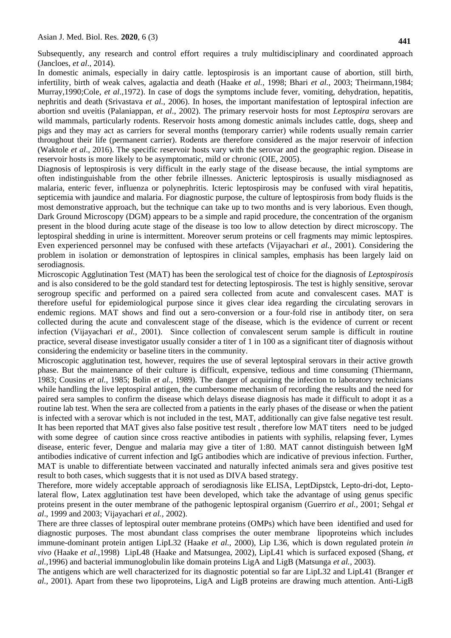Subsequently, any research and control effort requires a truly multidisciplinary and coordinated approach (Jancloes, *et al*., 2014).

In domestic animals, especially in dairy cattle. leptospirosis is an important cause of abortion, still birth, infertility, birth of weak calves, agalactia and death (Haake *et al.,* 1998; Bhari *et al.,* 2003; Theirmann,1984; Murray,1990;Cole, *et al*.,1972). In case of dogs the symptoms include fever, vomiting, dehydration, hepatitis, nephritis and death (Srivastava *et al.,* 2006). In hoses, the important manifestation of leptospiral infection are abortion snd uveitis (Palaniappan, *et al*., 2002). The primary reservoir hosts for most *Leptospira* serovars are wild mammals, particularly rodents. Reservoir hosts among domestic animals includes cattle, dogs, sheep and pigs and they may act as carriers for several months (temporary carrier) while rodents usually remain carrier throughout their life (permanent carrier). Rodents are therefore considered as the major reservoir of infection (Waktole *et al*., 2016). The specific reservoir hosts vary with the serovar and the geographic region. Disease in reservoir hosts is more likely to be asymptomatic, mild or chronic (OIE, 2005).

Diagnosis of leptospirosis is very difficult in the early stage of the disease because, the intial symptoms are often indistinguishable from the other febrile illnesses. Anicteric leptospirosis is usually misdiagnosed as malaria, enteric fever, influenza or polynephritis. Icteric leptospirosis may be confused with viral hepatitis, septicemia with jaundice and malaria. For diagnostic purpose, the culture of leptospirosis from body fluids is the most demonstrative approach, but the technique can take up to two months and is very laborious. Even though, Dark Ground Microscopy (DGM) appears to be a simple and rapid procedure, the concentration of the organism present in the blood during acute stage of the disease is too low to allow detection by direct microscopy. The leptospiral shedding in urine is intermittent. Moreover serum proteins or cell fragments may mimic leptospires. Even experienced personnel may be confused with these artefacts (Vijayachari *et al.,* 2001). Considering the problem in isolation or demonstration of leptospires in clinical samples, emphasis has been largely laid on serodiagnosis.

Microscopic Agglutination Test (MAT) has been the serological test of choice for the diagnosis of *Leptospirosis*  and is also considered to be the gold standard test for detecting leptospirosis. The test is highly sensitive, serovar serogroup specific and performed on a paired sera collected from acute and convalescent cases. MAT is therefore useful for epidemiological purpose since it gives clear idea regarding the circulating serovars in endemic regions. MAT shows and find out a sero-conversion or a four-fold rise in antibody titer, on sera collected during the acute and convalescent stage of the disease, which is the evidence of current or recent infection (Vijayachari *et al.,* 2001). Since collection of convalescent serum sample is difficult in routine practice, several disease investigator usually consider a titer of 1 in 100 as a significant titer of diagnosis without considering the endemicity or baseline titers in the community.

Microscopic agglutination test, however, requires the use of several leptospiral serovars in their active growth phase. But the maintenance of their culture is difficult, expensive, tedious and time consuming (Thiermann, 1983; Cousins *et al.,* 1985; Bolin *et al.,* 1989). The danger of acquiring the infection to laboratory technicians while handling the live leptospiral antigen, the cumbersome mechanism of recording the results and the need for paired sera samples to confirm the disease which delays disease diagnosis has made it difficult to adopt it as a routine lab test. When the sera are collected from a patients in the early phases of the disease or when the patient is infected with a serovar which is not included in the test, MAT, additionally can give false negative test result. It has been reported that MAT gives also false positive test result , therefore low MAT titers need to be judged with some degree of caution since cross reactive antibodies in patients with syphilis, relapsing fever, Lymes disease, enteric fever, Dengue and malaria may give a titer of 1:80. MAT cannot distinguish between IgM antibodies indicative of current infection and IgG antibodies which are indicative of previous infection. Further, MAT is unable to differentiate between vaccinated and naturally infected animals sera and gives positive test result to both cases, which suggests that it is not used as DIVA based strategy.

Therefore, more widely acceptable approach of serodiagnosis like ELISA, LeptDipstck, Lepto-dri-dot, Leptolateral flow, Latex agglutination test have been developed, which take the advantage of using genus specific proteins present in the outer membrane of the pathogenic leptospiral organism (Guerriro *et al.,* 2001; Sehgal *et al*., 1999 and 2003; Vijayachari *et al.,* 2002).

There are three classes of leptospiral outer membrane proteins (OMPs) which have been identified and used for diagnostic purposes. The most abundant class comprises the outer membrane lipoproteins which includes immune-dominant protein antigen LipL32 (Haake *et al.,* 2000), Lip L36, which is down regulated protein *in vivo* (Haake *et al.,*1998) LipL48 (Haake and Matsungea, 2002), LipL41 which is surfaced exposed (Shang, *et al.,*1996) and bacterial immunoglobulin like domain proteins LigA and LigB (Matsunga *et al.,* 2003).

The antigens which are well characterized for its diagnostic potential so far are LipL32 and LipL41 (Branger *et al.,* 2001). Apart from these two lipoproteins, LigA and LigB proteins are drawing much attention. Anti-LigB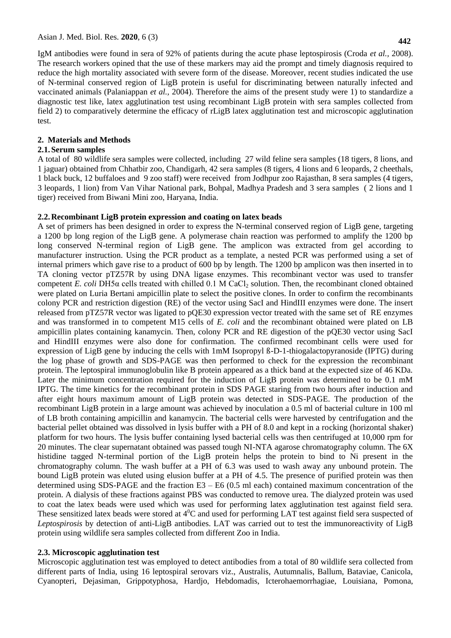**442**

IgM antibodies were found in sera of 92% of patients during the acute phase leptospirosis (Croda *et al.,* 2008). The research workers opined that the use of these markers may aid the prompt and timely diagnosis required to reduce the high mortality associated with severe form of the disease. Moreover, recent studies indicated the use of N-terminal conserved region of LigB protein is useful for discriminating between naturally infected and vaccinated animals (Palaniappan *et al.,* 2004). Therefore the aims of the present study were 1) to standardize a diagnostic test like, latex agglutination test using recombinant LigB protein with sera samples collected from field 2) to comparatively determine the efficacy of rLigB latex agglutination test and microscopic agglutination test.

### **2. Materials and Methods**

#### **2.1.Serum samples**

A total of 80 wildlife sera samples were collected, including 27 wild feline sera samples (18 tigers, 8 lions, and 1 jaguar) obtained from Chhatbir zoo, Chandigarh, 42 sera samples (8 tigers, 4 lions and 6 leopards, 2 cheethals, 1 black buck, 12 buffaloes and 9 zoo staff) were received from Jodhpur zoo Rajasthan, 8 sera samples (4 tigers, 3 leopards, 1 lion) from Van Vihar National park, Bohpal, Madhya Pradesh and 3 sera samples ( 2 lions and 1 tiger) received from Biwani Mini zoo, Haryana, India.

### **2.2.Recombinant LigB protein expression and coating on latex beads**

A set of primers has been designed in order to express the N-terminal conserved region of LigB gene, targeting a 1200 bp long region of the LigB gene. A polymerase chain reaction was performed to amplify the 1200 bp long conserved N-terminal region of LigB gene. The amplicon was extracted from gel according to manufacturer instruction. Using the PCR product as a template, a nested PCR was performed using a set of internal primers which gave rise to a product of 600 bp by length. The 1200 bp amplicon was then inserted in to TA cloning vector pTZ57R by using DNA ligase enzymes. This recombinant vector was used to transfer competent *E. coli* DH5α cells treated with chilled 0.1 M CaCl<sub>2</sub> solution. Then, the recombinant cloned obtained were plated on Luria Bertani ampicillin plate to select the positive clones. In order to confirm the recombinants colony PCR and restriction digestion (RE) of the vector using SacI and HindIII enzymes were done. The insert released from pTZ57R vector was ligated to pQE30 expression vector treated with the same set of RE enzymes and was transformed in to competent M15 cells of *E. coli* and the recombinant obtained were plated on LB ampicillin plates containing kanamycin. Then, colony PCR and RE digestion of the pQE30 vector using SacI and HindIII enzymes were also done for confirmation. The confirmed recombinant cells were used for expression of LigB gene by inducing the cells with 1mM Isopropyl ß-D-1-thiogalactopyranoside (IPTG) during the log phase of growth and SDS-PAGE was then performed to check for the expression the recombinant protein. The leptospiral immunoglobulin like B protein appeared as a thick band at the expected size of 46 KDa. Later the minimum concentration required for the induction of LigB protein was determined to be 0.1 mM IPTG. The time kinetics for the recombinant protein in SDS PAGE staring from two hours after induction and after eight hours maximum amount of LigB protein was detected in SDS-PAGE. The production of the recombinant LigB protein in a large amount was achieved by inoculation a 0.5 ml of bacterial culture in 100 ml of LB broth containing ampicillin and kanamycin. The bacterial cells were harvested by centrifugation and the bacterial pellet obtained was dissolved in lysis buffer with a PH of 8.0 and kept in a rocking (horizontal shaker) platform for two hours. The lysis buffer containing lysed bacterial cells was then centrifuged at 10,000 rpm for 20 minutes. The clear supernatant obtained was passed tough NI-NTA agarose chromatography column. The 6X histidine tagged N-terminal portion of the LigB protein helps the protein to bind to Ni present in the chromatography column. The wash buffer at a PH of 6.3 was used to wash away any unbound protein. The bound LigB protein was eluted using elusion buffer at a PH of 4.5. The presence of purified protein was then determined using SDS-PAGE and the fraction E3 – E6 (0.5 ml each) contained maximum concentration of the protein. A dialysis of these fractions against PBS was conducted to remove urea. The dialyzed protein was used to coat the latex beads were used which was used for performing latex agglutination test against field sera. These sensitized latex beads were stored at  $4^0C$  and used for performing LAT test against field sera suspected of *Leptospirosis* by detection of anti-LigB antibodies. LAT was carried out to test the immunoreactivity of LigB protein using wildlife sera samples collected from different Zoo in India.

#### **2.3. Microscopic agglutination test**

Microscopic agglutination test was employed to detect antibodies from a total of 80 wildlife sera collected from different parts of India, using 16 leptospiral serovars viz., Australis, Autumnalis, Ballum, Bataviae, Canicola, Cyanopteri, Dejasiman, Grippotyphosa, Hardjo, Hebdomadis, Icterohaemorrhagiae, Louisiana, Pomona,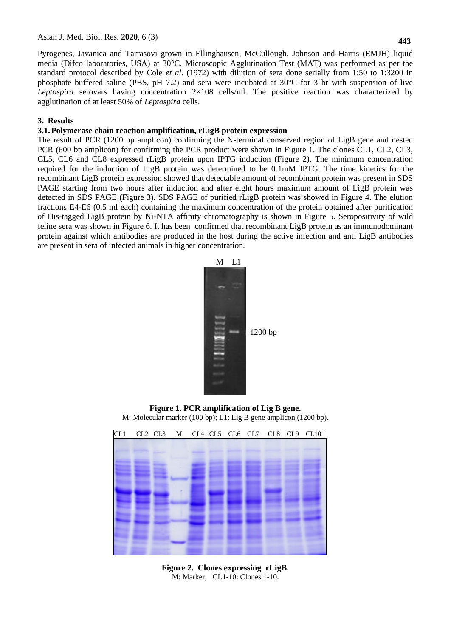Pyrogenes, Javanica and Tarrasovi grown in Ellinghausen, McCullough, Johnson and Harris (EMJH) liquid media (Difco laboratories, USA) at 30°C. Microscopic Agglutination Test (MAT) was performed as per the standard protocol described by Cole *et al*. (1972) with dilution of sera done serially from 1:50 to 1:3200 in phosphate buffered saline (PBS, pH 7.2) and sera were incubated at 30°C for 3 hr with suspension of live *Leptospira* serovars having concentration 2×108 cells/ml. The positive reaction was characterized by agglutination of at least 50% of *Leptospira* cells.

# **3. Results**

## **3.1.Polymerase chain reaction amplification, rLigB protein expression**

The result of PCR (1200 bp amplicon) confirming the N-terminal conserved region of LigB gene and nested PCR (600 bp amplicon) for confirming the PCR product were shown in Figure 1. The clones CL1, CL2, CL3, CL5, CL6 and CL8 expressed rLigB protein upon IPTG induction (Figure 2). The minimum concentration required for the induction of LigB protein was determined to be 0.1mM IPTG. The time kinetics for the recombinant LigB protein expression showed that detectable amount of recombinant protein was present in SDS PAGE starting from two hours after induction and after eight hours maximum amount of LigB protein was detected in SDS PAGE (Figure 3). SDS PAGE of purified rLigB protein was showed in Figure 4. The elution fractions E4-E6 (0.5 ml each) containing the maximum concentration of the protein obtained after purification of His-tagged LigB protein by Ni-NTA affinity chromatography is shown in Figure 5. Seropositivity of wild feline sera was shown in Figure 6. It has been confirmed that recombinant LigB protein as an immunodominant protein against which antibodies are produced in the host during the active infection and anti LigB antibodies are present in sera of infected animals in higher concentration.



**Figure 1. PCR amplification of Lig B gene.** M: Molecular marker (100 bp); L1: Lig B gene amplicon (1200 bp).



**Figure 2. Clones expressing rLigB.** M: Marker; CL1-10: Clones 1-10.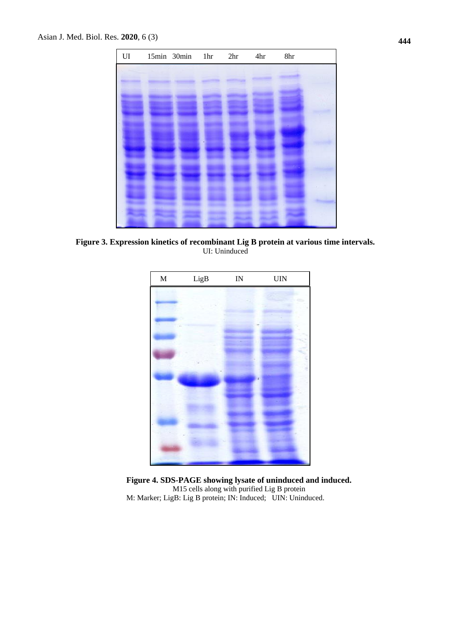

**Figure 3. Expression kinetics of recombinant Lig B protein at various time intervals.** UI: Uninduced



**Figure 4. SDS-PAGE showing lysate of uninduced and induced.** M15 cells along with purified Lig B protein M: Marker; LigB: Lig B protein; IN: Induced; UIN: Uninduced.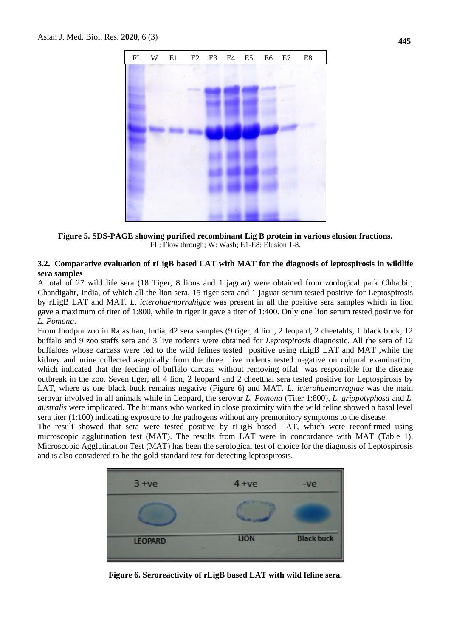

**Figure 5. SDS-PAGE showing purified recombinant Lig B protein in various elusion fractions.** FL: Flow through; W: Wash; E1-E8: Elusion 1-8.

### **3.2. Comparative evaluation of rLigB based LAT with MAT for the diagnosis of leptospirosis in wildlife sera samples**

A total of 27 wild life sera (18 Tiger, 8 lions and 1 jaguar) were obtained from zoological park Chhatbir, Chandigahr, India, of which all the lion sera, 15 tiger sera and 1 jaguar serum tested positive for Leptospirosis by rLigB LAT and MAT. *L. icterohaemorrahigae* was present in all the positive sera samples which in lion gave a maximum of titer of 1:800, while in tiger it gave a titer of 1:400. Only one lion serum tested positive for *L. Pomona*.

From Jhodpur zoo in Rajasthan, India, 42 sera samples (9 tiger, 4 lion, 2 leopard, 2 cheetahls, 1 black buck, 12 buffalo and 9 zoo staffs sera and 3 live rodents were obtained for *Leptospirosis* diagnostic. All the sera of 12 buffaloes whose carcass were fed to the wild felines tested positive using rLigB LAT and MAT ,while the kidney and urine collected aseptically from the three live rodents tested negative on cultural examination, which indicated that the feeding of buffalo carcass without removing offal was responsible for the disease outbreak in the zoo. Seven tiger, all 4 lion, 2 leopard and 2 cheetthal sera tested positive for Leptospirosis by LAT, where as one black buck remains negative (Figure 6) and MAT. *L. icterohaemorragiae* was the main serovar involved in all animals while in Leopard, the serovar *L. Pomona* (Titer 1:800), *L. grippotyphosa* and *L. australis* were implicated. The humans who worked in close proximity with the wild feline showed a basal level sera titer (1:100) indicating exposure to the pathogens without any premonitory symptoms to the disease.

The result showed that sera were tested positive by rLigB based LAT, which were reconfirmed using microscopic agglutination test (MAT). The results from LAT were in concordance with MAT (Table 1). Microscopic Agglutination Test (MAT) has been the serological test of choice for the diagnosis of Leptospirosis and is also considered to be the gold standard test for detecting leptospirosis.



**Figure 6. Seroreactivity of rLigB based LAT with wild feline sera.**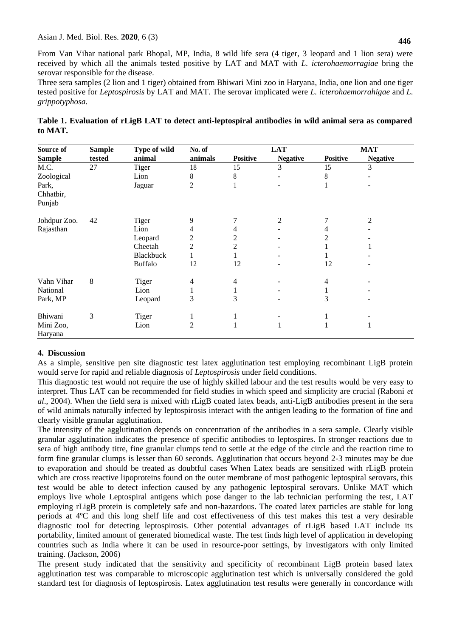From Van Vihar national park Bhopal, MP, India, 8 wild life sera (4 tiger, 3 leopard and 1 lion sera) were received by which all the animals tested positive by LAT and MAT with *L. icterohaemorragiae* bring the serovar responsible for the disease.

Three sera samples (2 lion and 1 tiger) obtained from Bhiwari Mini zoo in Haryana, India, one lion and one tiger tested positive for *Leptospirosis* by LAT and MAT. The serovar implicated were *L. icterohaemorrahigae* and *L. grippotyphosa.*

| Source of            | <b>Sample</b> | Type of wild     | No. of         | <b>LAT</b>      |                 | <b>MAT</b>      |                 |
|----------------------|---------------|------------------|----------------|-----------------|-----------------|-----------------|-----------------|
| <b>Sample</b>        | tested        | animal           | animals        | <b>Positive</b> | <b>Negative</b> | <b>Positive</b> | <b>Negative</b> |
| M.C.                 | 27            | <b>Tiger</b>     | 18             | 15              | 3               | 15              | 3               |
| Zoological           |               | Lion             | 8              | 8               |                 | 8               |                 |
| Park,                |               | Jaguar           | 2              | ш               |                 | 1               |                 |
| Chhatbir,<br>Punjab  |               |                  |                |                 |                 |                 |                 |
| Johdpur Zoo.         | 42            | <b>Tiger</b>     | 9              |                 | 2               |                 | 2               |
| Rajasthan            |               | Lion             | 4              | 4               |                 |                 |                 |
|                      |               | Leopard          | $\overline{c}$ | 2               |                 | 2               |                 |
|                      |               | Cheetah          | 2              | 2               |                 |                 |                 |
|                      |               | <b>Blackbuck</b> |                |                 |                 |                 |                 |
|                      |               | <b>Buffalo</b>   | 12             | 12              |                 | 12              |                 |
| Vahn Vihar           | $\,8\,$       | Tiger            | 4              | 4               |                 | 4               |                 |
| National             |               | Lion             |                |                 |                 |                 |                 |
| Park, MP             |               | Leopard          | 3              | 3               |                 | 3               |                 |
| Bhiwani              | 3             | Tiger            | 1              |                 |                 |                 |                 |
| Mini Zoo,<br>Haryana |               | Lion             | $\overline{2}$ |                 | 1               |                 |                 |

**Table 1. Evaluation of rLigB LAT to detect anti-leptospiral antibodies in wild animal sera as compared to MAT.**

### **4. Discussion**

As a simple, sensitive pen site diagnostic test latex agglutination test employing recombinant LigB protein would serve for rapid and reliable diagnosis of *Leptospirosis* under field conditions.

This diagnostic test would not require the use of highly skilled labour and the test results would be very easy to interpret. Thus LAT can be recommended for field studies in which speed and simplicity are crucial (Raboni *et al*., 2004). When the field sera is mixed with rLigB coated latex beads, anti-LigB antibodies present in the sera of wild animals naturally infected by leptospirosis interact with the antigen leading to the formation of fine and clearly visible granular agglutination.

The intensity of the agglutination depends on concentration of the antibodies in a sera sample. Clearly visible granular agglutination indicates the presence of specific antibodies to leptospires. In stronger reactions due to sera of high antibody titre, fine granular clumps tend to settle at the edge of the circle and the reaction time to form fine granular clumps is lesser than 60 seconds. Agglutination that occurs beyond 2-3 minutes may be due to evaporation and should be treated as doubtful cases When Latex beads are sensitized with rLigB protein which are cross reactive lipoproteins found on the outer membrane of most pathogenic leptospiral serovars, this test would be able to detect infection caused by any pathogenic leptospiral serovars. Unlike MAT which employs live whole Leptospiral antigens which pose danger to the lab technician performing the test, LAT employing rLigB protein is completely safe and non-hazardous. The coated latex particles are stable for long periods at 4ºC and this long shelf life and cost effectiveness of this test makes this test a very desirable diagnostic tool for detecting leptospirosis. Other potential advantages of rLigB based LAT include its portability, limited amount of generated biomedical waste. The test finds high level of application in developing countries such as India where it can be used in resource-poor settings, by investigators with only limited training. (Jackson, 2006)

The present study indicated that the sensitivity and specificity of recombinant LigB protein based latex agglutination test was comparable to microscopic agglutination test which is universally considered the gold standard test for diagnosis of leptospirosis. Latex agglutination test results were generally in concordance with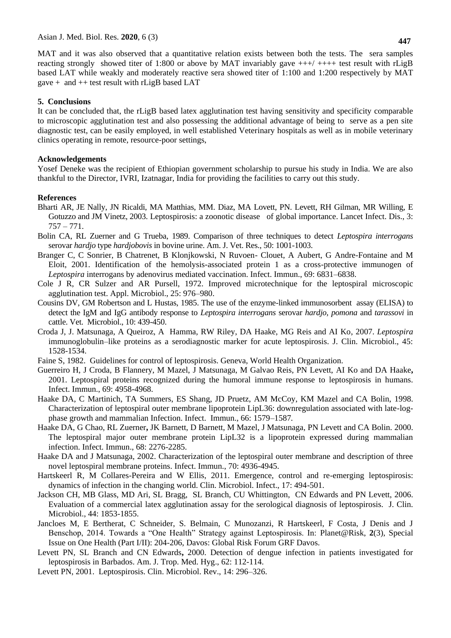### **5. Conclusions**

It can be concluded that, the rLigB based latex agglutination test having sensitivity and specificity comparable to microscopic agglutination test and also possessing the additional advantage of being to serve as a pen site diagnostic test, can be easily employed, in well established Veterinary hospitals as well as in mobile veterinary clinics operating in remote, resource-poor settings,

### **Acknowledgements**

Yosef Deneke was the recipient of Ethiopian government scholarship to pursue his study in India. We are also thankful to the Director, IVRI, Izatnagar, India for providing the facilities to carry out this study.

### **References**

- Bharti AR, JE Nally, JN Ricaldi, MA Matthias, MM. Diaz, MA Lovett, PN. Levett, RH Gilman, MR Willing, E Gotuzzo and JM Vinetz, 2003. Leptospirosis: a zoonotic disease of global importance. Lancet Infect. Dis., 3: 757 – 771.
- Bolin CA, RL Zuerner and G Trueba, 1989. Comparison of three techniques to detect *Leptospira interrogans* serovar *hardjo* type *hardjobovis* in bovine urine. Am. J. Vet. Res., 50: 1001-1003.
- Branger C, C Sonrier, B Chatrenet, B Klonjkowski, N Ruvoen- Clouet, A Aubert, G Andre-Fontaine and M Eloit, 2001. Identification of the hemolysis-associated protein 1 as a cross-protective immunogen of *Leptospira* interrogans by adenovirus mediated vaccination. Infect. Immun., 69: 6831–6838.
- Cole J R, CR Sulzer and AR Pursell, 1972. Improved microtechnique for the leptospiral microscopic agglutination test. Appl. Microbiol., 25: 976–980.
- Cousins DV, GM Robertson and L Hustas, 1985. The use of the enzyme-linked immunosorbent assay (ELISA) to detect the IgM and IgG antibody response to *Leptospira interrogans* serovar *hardjo, pomona* and *tarassovi* in cattle. Vet. Microbiol., 10: 439-450.
- Croda J, J. Matsunaga, A Queiroz, A Hamma, RW Riley, DA Haake, MG Reis and AI Ko, 2007. *Leptospira* immunoglobulin–like proteins as a serodiagnostic marker for acute leptospirosis. J. Clin. Microbiol., 45: 1528-1534.
- Faine S, 1982. Guidelines for control of leptospirosis. Geneva, World Health Organization.
- Guerreiro H, J Croda, B Flannery, M Mazel, J Matsunaga, M Galvao Reis, PN Levett, AI Ko and DA Haake**,**  2001. Leptospiral proteins recognized during the humoral immune response to leptospirosis in humans. Infect. Immun., 69: 4958-4968.
- Haake DA, C Martinich, TA Summers, ES Shang, JD Pruetz, AM McCoy, KM Mazel and CA Bolin, 1998. Characterization of leptospiral outer membrane lipoprotein LipL36: downregulation associated with late-logphase growth and mammalian Infection. Infect. Immun., 66: 1579–1587*.*
- Haake DA, G Chao, RL Zuerner**,** JK Barnett, D Barnett, M Mazel, J Matsunaga, PN Levett and CA Bolin. 2000. The leptospiral major outer membrane protein LipL32 is a lipoprotein expressed during mammalian infection. Infect. Immun., 68: 2276-2285.
- Haake DA and J Matsunaga, 2002. Characterization of the leptospiral outer membrane and description of three novel leptospiral membrane proteins. Infect. Immun., 70: 4936-4945.
- Hartskeerl R, M Collares-Pereira and W Ellis, 2011. Emergence, control and re-emerging leptospirosis: dynamics of infection in the changing world. Clin. Microbiol. Infect., 17: 494-501.
- Jackson CH, MB Glass, MD Ari, SL Bragg, SL Branch, CU Whittington, CN Edwards and PN Levett, 2006. Evaluation of a commercial latex agglutination assay for the serological diagnosis of leptospirosis. J. Clin. Microbiol., 44: 1853-1855.
- Jancloes M, E Bertherat, C Schneider, S. Belmain, C Munozanzi, R Hartskeerl, F Costa, J Denis and J Benschop, 2014. Towards a "One Health" Strategy against Leptospirosis. In: Planet@Risk, **2**(3), Special Issue on One Health (Part I/II): 204-206, Davos: Global Risk Forum GRF Davos.
- Levett PN, SL Branch and CN Edwards**,** 2000. Detection of dengue infection in patients investigated for leptospirosis in Barbados. Am. J. Trop. Med. Hyg., 62: 112-114.
- Levett PN, 2001. Leptospirosis. Clin. Microbiol. Rev., 14: 296–326.